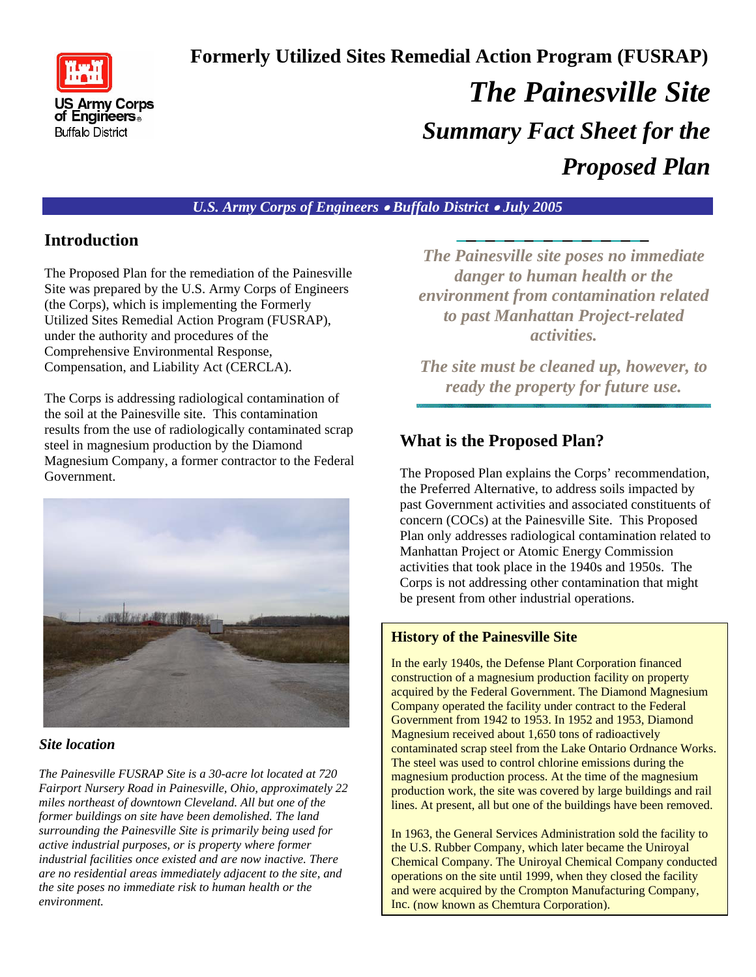

 **Formerly Utilized Sites Remedial Action Program (FUSRAP)**  *The Painesville Site Summary Fact Sheet for the Proposed Plan* 

### *U.S. Army Corps of Engineers* • *Buffalo District* • *July 2005*

### **Introduction**

The Proposed Plan for the remediation of the Painesville Site was prepared by the U.S. Army Corps of Engineers (the Corps), which is implementing the Formerly Utilized Sites Remedial Action Program (FUSRAP), under the authority and procedures of the Comprehensive Environmental Response, Compensation, and Liability Act (CERCLA).

The Corps is addressing radiological contamination of the soil at the Painesville site. This contamination results from the use of radiologically contaminated scrap steel in magnesium production by the Diamond Magnesium Company, a former contractor to the Federal Government.



#### *Site location*

*The Painesville FUSRAP Site is a 30-acre lot located at 720 Fairport Nursery Road in Painesville, Ohio, approximately 22 miles northeast of downtown Cleveland. All but one of the former buildings on site have been demolished. The land surrounding the Painesville Site is primarily being used for active industrial purposes, or is property where former industrial facilities once existed and are now inactive. There are no residential areas immediately adjacent to the site, and the site poses no immediate risk to human health or the environment.* 

*The Painesville site poses no immediate danger to human health or the environment from contamination related to past Manhattan Project-related activities.*

*The site must be cleaned up, however, to ready the property for future use.* 

# **What is the Proposed Plan?**

The Proposed Plan explains the Corps' recommendation, the Preferred Alternative, to address soils impacted by past Government activities and associated constituents of concern (COCs) at the Painesville Site. This Proposed Plan only addresses radiological contamination related to Manhattan Project or Atomic Energy Commission activities that took place in the 1940s and 1950s. The Corps is not addressing other contamination that might be present from other industrial operations.

### **History of the Painesville Site**

In the early 1940s, the Defense Plant Corporation financed construction of a magnesium production facility on property acquired by the Federal Government. The Diamond Magnesium Company operated the facility under contract to the Federal Government from 1942 to 1953. In 1952 and 1953, Diamond Magnesium received about 1,650 tons of radioactively contaminated scrap steel from the Lake Ontario Ordnance Works. The steel was used to control chlorine emissions during the magnesium production process. At the time of the magnesium production work, the site was covered by large buildings and rail lines. At present, all but one of the buildings have been removed.

In 1963, the General Services Administration sold the facility to the U.S. Rubber Company, which later became the Uniroyal Chemical Company. The Uniroyal Chemical Company conducted operations on the site until 1999, when they closed the facility and were acquired by the Crompton Manufacturing Company, Inc. (now known as Chemtura Corporation).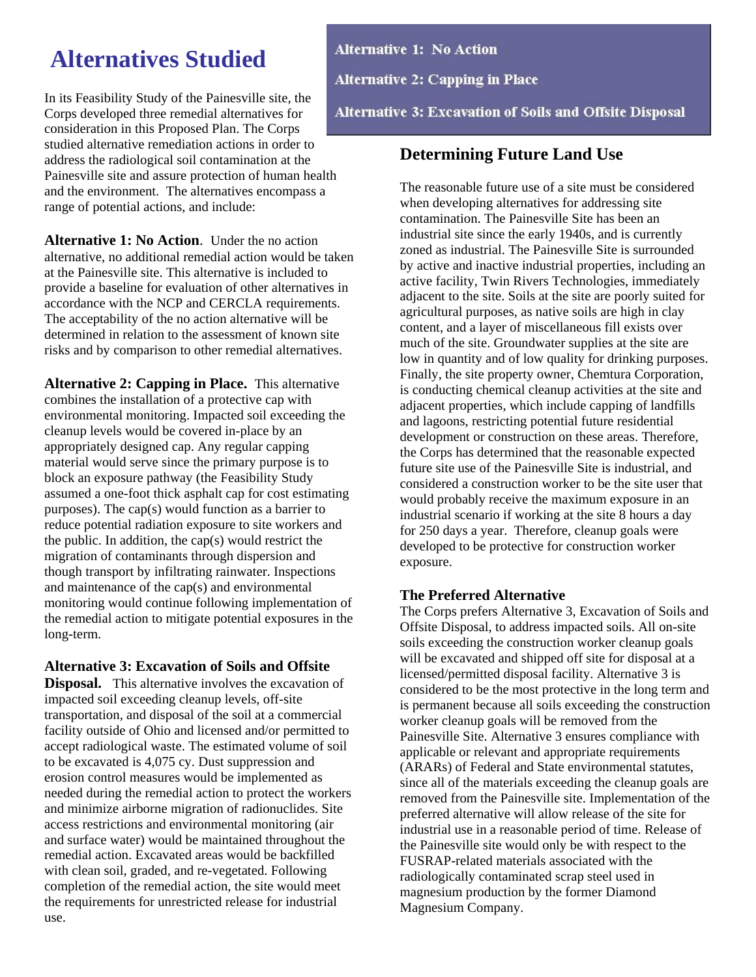# **Alternatives Studied**

In its Feasibility Study of the Painesville site, the Corps developed three remedial alternatives for consideration in this Proposed Plan. The Corps studied alternative remediation actions in order to address the radiological soil contamination at the Painesville site and assure protection of human health and the environment. The alternatives encompass a range of potential actions, and include:

**Alternative 1: No Action**. Under the no action alternative, no additional remedial action would be taken at the Painesville site. This alternative is included to provide a baseline for evaluation of other alternatives in accordance with the NCP and CERCLA requirements. The acceptability of the no action alternative will be determined in relation to the assessment of known site risks and by comparison to other remedial alternatives.

**Alternative 2: Capping in Place.** This alternative combines the installation of a protective cap with environmental monitoring. Impacted soil exceeding the cleanup levels would be covered in-place by an appropriately designed cap. Any regular capping material would serve since the primary purpose is to block an exposure pathway (the Feasibility Study assumed a one-foot thick asphalt cap for cost estimating purposes). The cap(s) would function as a barrier to reduce potential radiation exposure to site workers and the public. In addition, the cap(s) would restrict the migration of contaminants through dispersion and though transport by infiltrating rainwater. Inspections and maintenance of the cap(s) and environmental monitoring would continue following implementation of the remedial action to mitigate potential exposures in the long-term.

#### **Alternative 3: Excavation of Soils and Offsite**

**Disposal.** This alternative involves the excavation of impacted soil exceeding cleanup levels, off-site transportation, and disposal of the soil at a commercial facility outside of Ohio and licensed and/or permitted to accept radiological waste. The estimated volume of soil to be excavated is 4,075 cy. Dust suppression and erosion control measures would be implemented as needed during the remedial action to protect the workers and minimize airborne migration of radionuclides. Site access restrictions and environmental monitoring (air and surface water) would be maintained throughout the remedial action. Excavated areas would be backfilled with clean soil, graded, and re-vegetated. Following completion of the remedial action, the site would meet the requirements for unrestricted release for industrial use.

**Alternative 1: No Action Alternative 2: Capping in Place** 

**Alternative 3: Excavation of Soils and Offsite Disposal** 

# **Determining Future Land Use**

The reasonable future use of a site must be considered when developing alternatives for addressing site contamination. The Painesville Site has been an industrial site since the early 1940s, and is currently zoned as industrial. The Painesville Site is surrounded by active and inactive industrial properties, including an active facility, Twin Rivers Technologies, immediately adjacent to the site. Soils at the site are poorly suited for agricultural purposes, as native soils are high in clay content, and a layer of miscellaneous fill exists over much of the site. Groundwater supplies at the site are low in quantity and of low quality for drinking purposes. Finally, the site property owner, Chemtura Corporation, is conducting chemical cleanup activities at the site and adjacent properties, which include capping of landfills and lagoons, restricting potential future residential development or construction on these areas. Therefore, the Corps has determined that the reasonable expected future site use of the Painesville Site is industrial, and considered a construction worker to be the site user that would probably receive the maximum exposure in an industrial scenario if working at the site 8 hours a day for 250 days a year. Therefore, cleanup goals were developed to be protective for construction worker exposure.

### **The Preferred Alternative**

The Corps prefers Alternative 3, Excavation of Soils and Offsite Disposal, to address impacted soils. All on-site soils exceeding the construction worker cleanup goals will be excavated and shipped off site for disposal at a licensed/permitted disposal facility. Alternative 3 is considered to be the most protective in the long term and is permanent because all soils exceeding the construction worker cleanup goals will be removed from the Painesville Site. Alternative 3 ensures compliance with applicable or relevant and appropriate requirements (ARARs) of Federal and State environmental statutes, since all of the materials exceeding the cleanup goals are removed from the Painesville site. Implementation of the preferred alternative will allow release of the site for industrial use in a reasonable period of time. Release of the Painesville site would only be with respect to the FUSRAP-related materials associated with the radiologically contaminated scrap steel used in magnesium production by the former Diamond Magnesium Company.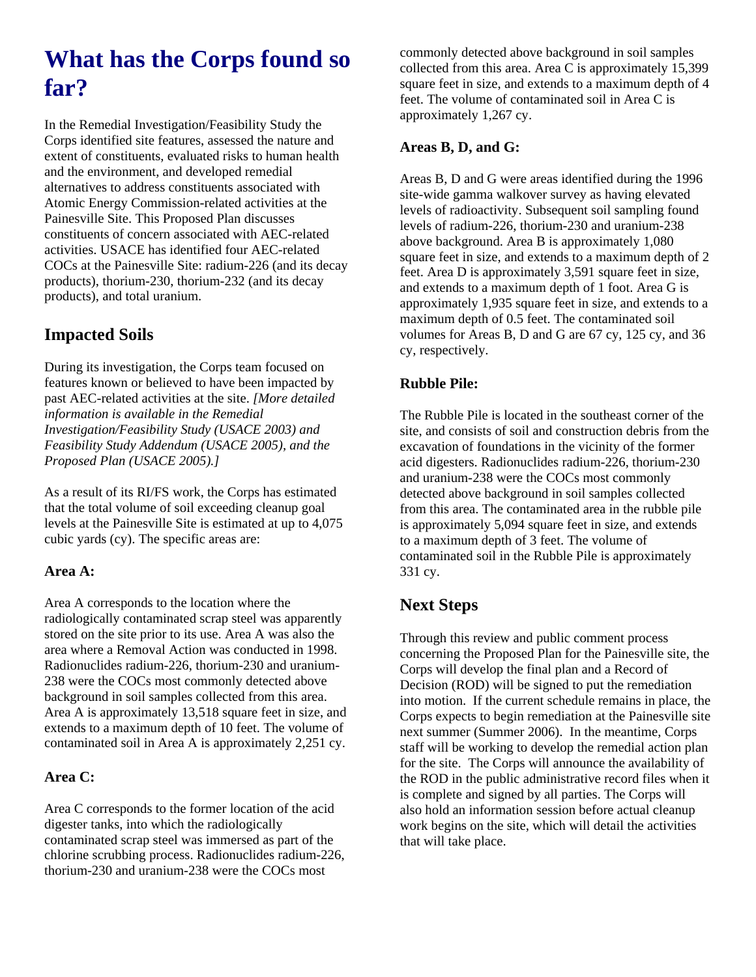# **What has the Corps found so far?**

In the Remedial Investigation/Feasibility Study the Corps identified site features, assessed the nature and extent of constituents, evaluated risks to human health and the environment, and developed remedial alternatives to address constituents associated with Atomic Energy Commission-related activities at the Painesville Site. This Proposed Plan discusses constituents of concern associated with AEC-related activities. USACE has identified four AEC-related COCs at the Painesville Site: radium-226 (and its decay products), thorium-230, thorium-232 (and its decay products), and total uranium.

# **Impacted Soils**

During its investigation, the Corps team focused on features known or believed to have been impacted by past AEC-related activities at the site. *[More detailed information is available in the Remedial Investigation/Feasibility Study (USACE 2003) and Feasibility Study Addendum (USACE 2005), and the Proposed Plan (USACE 2005).]* 

As a result of its RI/FS work, the Corps has estimated that the total volume of soil exceeding cleanup goal levels at the Painesville Site is estimated at up to 4,075 cubic yards (cy). The specific areas are:

### **Area A:**

Area A corresponds to the location where the radiologically contaminated scrap steel was apparently stored on the site prior to its use. Area A was also the area where a Removal Action was conducted in 1998. Radionuclides radium-226, thorium-230 and uranium-238 were the COCs most commonly detected above background in soil samples collected from this area. Area A is approximately 13,518 square feet in size, and extends to a maximum depth of 10 feet. The volume of contaminated soil in Area A is approximately 2,251 cy.

### **Area C:**

Area C corresponds to the former location of the acid digester tanks, into which the radiologically contaminated scrap steel was immersed as part of the chlorine scrubbing process. Radionuclides radium-226, thorium-230 and uranium-238 were the COCs most

commonly detected above background in soil samples collected from this area. Area C is approximately 15,399 square feet in size, and extends to a maximum depth of 4 feet. The volume of contaminated soil in Area C is approximately 1,267 cy.

### **Areas B, D, and G:**

Areas B, D and G were areas identified during the 1996 site-wide gamma walkover survey as having elevated levels of radioactivity. Subsequent soil sampling found levels of radium-226, thorium-230 and uranium-238 above background. Area B is approximately 1,080 square feet in size, and extends to a maximum depth of 2 feet. Area D is approximately 3,591 square feet in size, and extends to a maximum depth of 1 foot. Area G is approximately 1,935 square feet in size, and extends to a maximum depth of 0.5 feet. The contaminated soil volumes for Areas B, D and G are 67 cy, 125 cy, and 36 cy, respectively.

### **Rubble Pile:**

The Rubble Pile is located in the southeast corner of the site, and consists of soil and construction debris from the excavation of foundations in the vicinity of the former acid digesters. Radionuclides radium-226, thorium-230 and uranium-238 were the COCs most commonly detected above background in soil samples collected from this area. The contaminated area in the rubble pile is approximately 5,094 square feet in size, and extends to a maximum depth of 3 feet. The volume of contaminated soil in the Rubble Pile is approximately 331 cy.

# **Next Steps**

Through this review and public comment process concerning the Proposed Plan for the Painesville site, the Corps will develop the final plan and a Record of Decision (ROD) will be signed to put the remediation into motion. If the current schedule remains in place, the Corps expects to begin remediation at the Painesville site next summer (Summer 2006). In the meantime, Corps staff will be working to develop the remedial action plan for the site. The Corps will announce the availability of the ROD in the public administrative record files when it is complete and signed by all parties. The Corps will also hold an information session before actual cleanup work begins on the site, which will detail the activities that will take place.